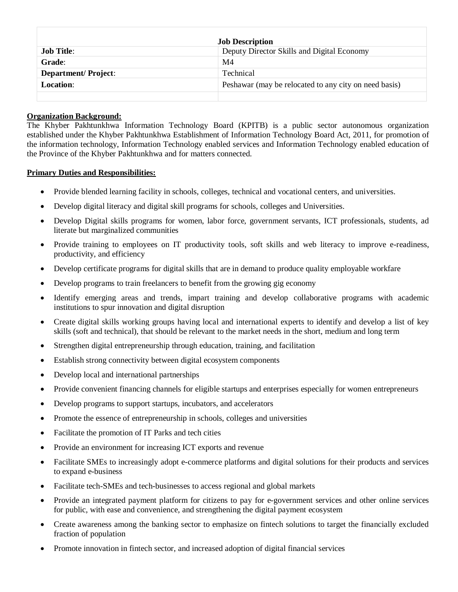| <b>Job Description</b>     |                                                       |
|----------------------------|-------------------------------------------------------|
| <b>Job Title:</b>          | Deputy Director Skills and Digital Economy            |
| <b>Grade:</b>              | M <sub>4</sub>                                        |
| <b>Department/Project:</b> | <b>Technical</b>                                      |
| Location:                  | Peshawar (may be relocated to any city on need basis) |
|                            |                                                       |

## **Organization Background:**

The Khyber Pakhtunkhwa Information Technology Board (KPITB) is a public sector autonomous organization established under the Khyber Pakhtunkhwa Establishment of Information Technology Board Act, 2011, for promotion of the information technology, Information Technology enabled services and Information Technology enabled education of the Province of the Khyber Pakhtunkhwa and for matters connected.

# **Primary Duties and Responsibilities:**

- Provide blended learning facility in schools, colleges, technical and vocational centers, and universities.
- Develop digital literacy and digital skill programs for schools, colleges and Universities.
- Develop Digital skills programs for women, labor force, government servants, ICT professionals, students, ad literate but marginalized communities
- Provide training to employees on IT productivity tools, soft skills and web literacy to improve e-readiness, productivity, and efficiency
- Develop certificate programs for digital skills that are in demand to produce quality employable workfare
- Develop programs to train freelancers to benefit from the growing gig economy
- Identify emerging areas and trends, impart training and develop collaborative programs with academic institutions to spur innovation and digital disruption
- Create digital skills working groups having local and international experts to identify and develop a list of key skills (soft and technical), that should be relevant to the market needs in the short, medium and long term
- Strengthen digital entrepreneurship through education, training, and facilitation
- Establish strong connectivity between digital ecosystem components
- Develop local and international partnerships
- Provide convenient financing channels for eligible startups and enterprises especially for women entrepreneurs
- Develop programs to support startups, incubators, and accelerators
- Promote the essence of entrepreneurship in schools, colleges and universities
- Facilitate the promotion of IT Parks and tech cities
- Provide an environment for increasing ICT exports and revenue
- Facilitate SMEs to increasingly adopt e-commerce platforms and digital solutions for their products and services to expand e-business
- Facilitate tech-SMEs and tech-businesses to access regional and global markets
- Provide an integrated payment platform for citizens to pay for e-government services and other online services for public, with ease and convenience, and strengthening the digital payment ecosystem
- Create awareness among the banking sector to emphasize on fintech solutions to target the financially excluded fraction of population
- Promote innovation in fintech sector, and increased adoption of digital financial services